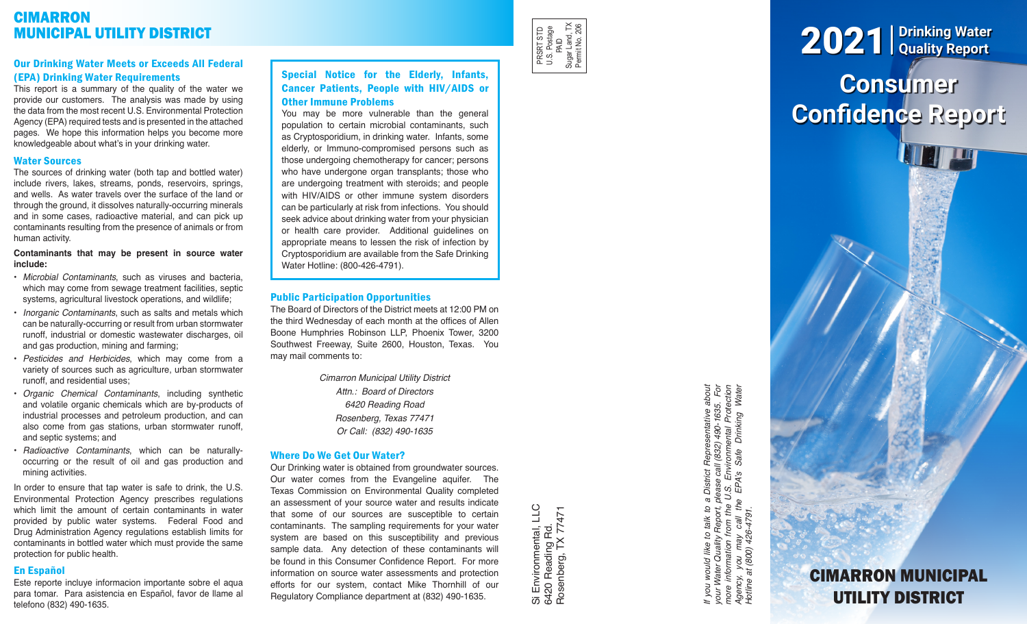# **CIMARRON** MUNICIPAL UTILITY DISTRICT

# Our Drinking Water Meets or Exceeds All Federal (EPA) Drinking Water Requirements

This report is a summary of the quality of the water we provide our customers. The analysis was made by using the data from the most recent U.S. Environmental Protection Agency (EPA) required tests and is presented in the attached pages. We hope this information helps you become more knowledgeable about what's in your drinking water.

## Water Sources

The sources of drinking water (both tap and bottled water) include rivers, lakes, streams, ponds, reservoirs, springs, and wells. As water travels over the surface of the land or through the ground, it dissolves naturally-occurring minerals and in some cases, radioactive material, and can pick up contaminants resulting from the presence of animals or from human activity.

## **Contaminants that may be present in source water include:**

- *Microbial Contaminants*, such as viruses and bacteria, which may come from sewage treatment facilities, septic systems, agricultural livestock operations, and wildlife;
- *Inorganic Contaminants*, such as salts and metals which can be naturally-occurring or result from urban stormwater runoff, industrial or domestic wastewater discharges, oil and gas production, mining and farming;
- *Pesticides and Herbicides*, which may come from a variety of sources such as agriculture, urban stormwater runoff, and residential uses;
- *Organic Chemical Contaminants*, including synthetic and volatile organic chemicals which are by-products of industrial processes and petroleum production, and can also come from gas stations, urban stormwater runoff, and septic systems; and
- *Radioactive Contaminants*, which can be naturallyoccurring or the result of oil and gas production and mining activities.

In order to ensure that tap water is safe to drink, the U.S. Environmental Protection Agency prescribes regulations which limit the amount of certain contaminants in water provided by public water systems. Federal Food and Drug Administration Agency regulations establish limits for contaminants in bottled water which must provide the same protection for public health.

# En Español

Este reporte incluye informacion importante sobre el aqua para tomar. Para asistencia en Español, favor de llame al telefono (832) 490-1635.

# Special Notice for the Elderly, Infants, Cancer Patients, People with HIV/AIDS or Other Immune Problems

You may be more vulnerable than the general population to certain microbial contaminants, such as Cryptosporidium, in drinking water. Infants, some elderly, or Immuno-compromised persons such as those undergoing chemotherapy for cancer; persons who have undergone organ transplants; those who are undergoing treatment with steroids; and people with HIV/AIDS or other immune system disorders can be particularly at risk from infections. You should seek advice about drinking water from your physician or health care provider. Additional guidelines on appropriate means to lessen the risk of infection by Cryptosporidium are available from the Safe Drinking Water Hotline: (800-426-4791).

# Public Participation Opportunities

The Board of Directors of the District meets at 12:00 PM on the third Wednesday of each month at the offices of Allen Boone Humphries Robinson LLP, Phoenix Tower, 3200 Southwest Freeway, Suite 2600, Houston, Texas. You may mail comments to:

> *Cimarron Municipal Utility District Attn.: Board of Directors 6420 Reading Road Rosenberg, Texas 77471 Or Call: (832) 490-1635*

# Where Do We Get Our Water?

Our Drinking water is obtained from groundwater sources. Our water comes from the Evangeline aquifer. The Texas Commission on Environmental Quality completed an assessment of your source water and results indicate that some of our sources are susceptible to certain contaminants. The sampling requirements for your water system are based on this susceptibility and previous sample data. Any detection of these contaminants will be found in this Consumer Confidence Report. For more information on source water assessments and protection efforts for our system, contact Mike Thornhill of our Regulatory Compliance department at (832) 490-1635.

Si Environmental, LLC<br>6420 Reading Rd.<br>Rosenberg, TX 77471 Si Environmental, LLC Rosenberg, TX 77471 6420 Reading Rd.

PRSRT STD U.S. Postage PRSRT STD<br>U.S. Postage<br>Sugar Land, TX<br>Sugar Land, TX<br>Permit No. 206 Sugar Land, TX Permit No. 206

> If you would like to talk to a District Representative about<br>your Water Quality Report, please call (832) 490-1635. For<br>more information from the U.S. Environmental Protection<br>Agency, you may call the EPA's Safe Drinking W *If you would like to talk to a District Representative about your Water Quality Report, please call (832) 490-1635. For more information from the U.S. Environmental Protection Agency, you may call the EPA's Safe Drinking Water Hotline at (800) 426-4791.*

# **Consumer Confidence Report** 2021 **Drinking Water Quality Report**

CIMARRON MUNICIPAL

UTILITY DISTRICT